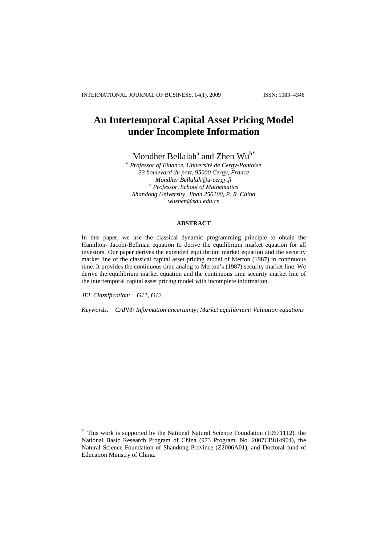# **An Intertemporal Capital Asset Pricing Model under Incomplete Information**

Mondher Bellalah $^{\rm a}$  and Zhen Wu $^{\rm b*}$ 

*<sup>a</sup> Professor of Finance, Université de Cergy-Pontoise 33 boulevard du port, 95000 Cergy, France Mondher.Bellalah@u-cergy.fr <sup>b</sup> Professor, School of Mathematics Shandong University, Jinan 250100, P. R. China wuzhen@sdu.edu.cn*

# **ABSTRACT**

In this paper, we use the classical dynamic programming principle to obtain the Hamilton- Jacobi-Bellman equation to derive the equilibrium market equation for all investors. Our paper derives the extended equilibrium market equation and the security market line of the classical capital asset pricing model of Merton (1987) in continuous time. It provides the continuous time analog to Merton's (1987) security market line. We derive the equilibrium market equation and the continuous time security market line of the intertemporal capital asset pricing model with incomplete information.

*JEL Classification: G11, G12*

*Keywords: CAPM; Information uncertainty; Market equilibrium; Valuation equations*

<sup>\*</sup> This work is supported by the National Natural Science Foundation (10671112), the National Basic Research Program of China (973 Program, No. 2007CB814904), the Natural Science Foundation of Shandong Province (Z2006A01), and Doctoral fund of Education Ministry of China.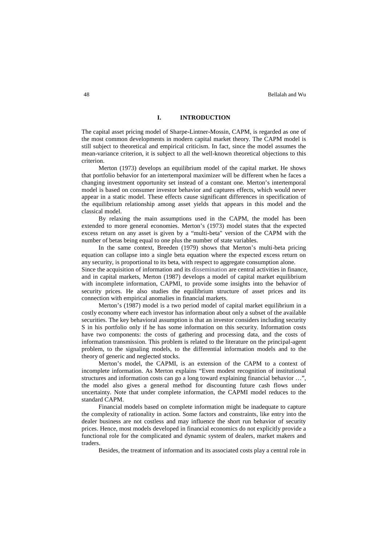# **I. INTRODUCTION**

The capital asset pricing model of Sharpe-Lintner-Mossin, CAPM, is regarded as one of the most common developments in modern capital market theory. The CAPM model is still subject to theoretical and empirical criticism. In fact, since the model assumes the mean-variance criterion, it is subject to all the well-known theoretical objections to this criterion.

Merton (1973) develops an equilibrium model of the capital market. He shows that portfolio behavior for an intertemporal maximizer will be different when he faces a changing investment opportunity set instead of a constant one. Merton's intertemporal model is based on consumer investor behavior and captures effects, which would never appear in a static model. These effects cause significant differences in specification of the equilibrium relationship among asset yields that appears in this model and the classical model.

By relaxing the main assumptions used in the CAPM, the model has been extended to more general economies. Merton's (1973) model states that the expected excess return on any asset is given by a "multi-beta" version of the CAPM with the number of betas being equal to one plus the number of state variables.

In the same context, Breeden (1979) shows that Merton's multi-beta pricing equation can collapse into a single beta equation where the expected excess return on any security, is proportional to its beta, with respect to aggregate consumption alone.

Since the acquisition of information and its dissemination are central activities in finance, and in capital markets, Merton (1987) develops a model of capital market equilibrium with incomplete information, CAPMI, to provide some insights into the behavior of security prices. He also studies the equilibrium structure of asset prices and its connection with empirical anomalies in financial markets.

Merton's (1987) model is a two period model of capital market equilibrium in a costly economy where each investor has information about only a subset of the available securities. The key behavioral assumption is that an investor considers including security S in his portfolio only if he has some information on this security. Information costs have two components: the costs of gathering and processing data, and the costs of information transmission. This problem is related to the literature on the principal-agent problem, to the signaling models, to the differential information models and to the theory of generic and neglected stocks.

Merton's model, the CAPMI, is an extension of the CAPM to a context of incomplete information. As Merton explains "Even modest recognition of institutional structures and information costs can go a long toward explaining financial behavior …", the model also gives a general method for discounting future cash flows under uncertainty. Note that under complete information, the CAPMI model reduces to the standard CAPM.

Financial models based on complete information might be inadequate to capture the complexity of rationality in action. Some factors and constraints, like entry into the dealer business are not costless and may influence the short run behavior of security prices. Hence, most models developed in financial economics do not explicitly provide a functional role for the complicated and dynamic system of dealers, market makers and traders.

Besides, the treatment of information and its associated costs play a central role in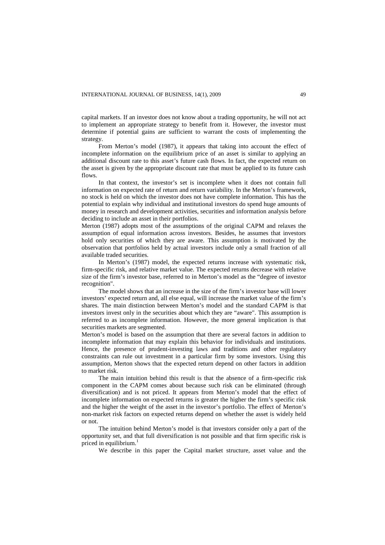capital markets. If an investor does not know about a trading opportunity, he will not act to implement an appropriate strategy to benefit from it. However, the investor must determine if potential gains are sufficient to warrant the costs of implementing the strategy.

From Merton's model (1987), it appears that taking into account the effect of incomplete information on the equilibrium price of an asset is similar to applying an additional discount rate to this asset's future cash flows. In fact, the expected return on the asset is given by the appropriate discount rate that must be applied to its future cash flows

In that context, the investor's set is incomplete when it does not contain full information on expected rate of return and return variability. In the Merton's framework, no stock is held on which the investor does not have complete information. This has the potential to explain why individual and institutional investors do spend huge amounts of money in research and development activities, securities and information analysis before deciding to include an asset in their portfolios.

Merton (1987) adopts most of the assumptions of the original CAPM and relaxes the assumption of equal information across investors. Besides, he assumes that investors hold only securities of which they are aware. This assumption is motivated by the observation that portfolios held by actual investors include only a small fraction of all available traded securities.

In Merton's (1987) model, the expected returns increase with systematic risk, firm-specific risk, and relative market value. The expected returns decrease with relative size of the firm's investor base, referred to in Merton's model as the "degree of investor recognition".

The model shows that an increase in the size of the firm's investor base will lower investors' expected return and, all else equal, will increase the market value of the firm's shares. The main distinction between Merton's model and the standard CAPM is that investors invest only in the securities about which they are "aware". This assumption is referred to as incomplete information. However, the more general implication is that securities markets are segmented.

Merton's model is based on the assumption that there are several factors in addition to incomplete information that may explain this behavior for individuals and institutions. Hence, the presence of prudent-investing laws and traditions and other regulatory constraints can rule out investment in a particular firm by some investors. Using this assumption, Merton shows that the expected return depend on other factors in addition to market risk.

The main intuition behind this result is that the absence of a firm-specific risk component in the CAPM comes about because such risk can be eliminated (through diversification) and is not priced. It appears from Merton's model that the effect of incomplete information on expected returns is greater the higher the firm's specific risk and the higher the weight of the asset in the investor's portfolio. The effect of Merton's non-market risk factors on expected returns depend on whether the asset is widely held or not.

The intuition behind Merton's model is that investors consider only a part of the opportunity set, and that full diversification is not possible and that firm specific risk is priced in equilibrium.<sup>1</sup>

We describe in this paper the Capital market structure, asset value and the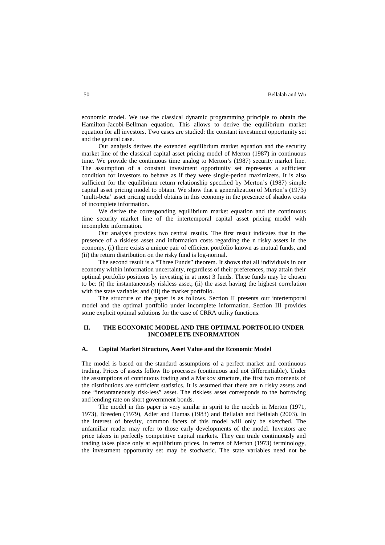economic model. We use the classical dynamic programming principle to obtain the Hamilton-Jacobi-Bellman equation. This allows to derive the equilibrium market equation for all investors. Two cases are studied: the constant investment opportunity set and the general case.

Our analysis derives the extended equilibrium market equation and the security market line of the classical capital asset pricing model of Merton (1987) in continuous time. We provide the continuous time analog to Merton's (1987) security market line. The assumption of a constant investment opportunity set represents a sufficient condition for investors to behave as if they were single-period maximizers. It is also sufficient for the equilibrium return relationship specified by Merton's (1987) simple capital asset pricing model to obtain. We show that a generalization of Merton's (1973) 'multi-beta' asset pricing model obtains in this economy in the presence of shadow costs of incomplete information.

We derive the corresponding equilibrium market equation and the continuous time security market line of the intertemporal capital asset pricing model with incomplete information.

Our analysis provides two central results. The first result indicates that in the presence of a riskless asset and information costs regarding the n risky assets in the economy, (i) there exists a unique pair of efficient portfolio known as mutual funds, and (ii) the return distribution on the risky fund is log-normal.

The second result is a "Three Funds" theorem. It shows that all individuals in our economy within information uncertainty, regardless of their preferences, may attain their optimal portfolio positions by investing in at most 3 funds. These funds may be chosen to be: (i) the instantaneously riskless asset; (ii) the asset having the highest correlation with the state variable; and (iii) the market portfolio.

The structure of the paper is as follows. Section II presents our intertemporal model and the optimal portfolio under incomplete information. Section III provides some explicit optimal solutions for the case of CRRA utility functions.

## **II. THE ECONOMIC MODEL AND THE OPTIMAL PORTFOLIO UNDER INCOMPLETE INFORMATION**

#### **A. Capital Market Structure, Asset Value and the Economic Model**

The model is based on the standard assumptions of a perfect market and continuous trading. Prices of assets follow Ito processes (continuous and not differentiable). Under the assumptions of continuous trading and a Markov structure, the first two moments of the distributions are sufficient statistics. It is assumed that there are n risky assets and one "instantaneously risk-less" asset. The riskless asset corresponds to the borrowing and lending rate on short government bonds.

The model in this paper is very similar in spirit to the models in Merton (1971, 1973), Breeden (1979), Adler and Dumas (1983) and Bellalah and Bellalah (2003). In the interest of brevity, common facets of this model will only be sketched. The unfamiliar reader may refer to those early developments of the model. Investors are price takers in perfectly competitive capital markets. They can trade continuously and trading takes place only at equilibrium prices. In terms of Merton (1973) terminology, the investment opportunity set may be stochastic. The state variables need not be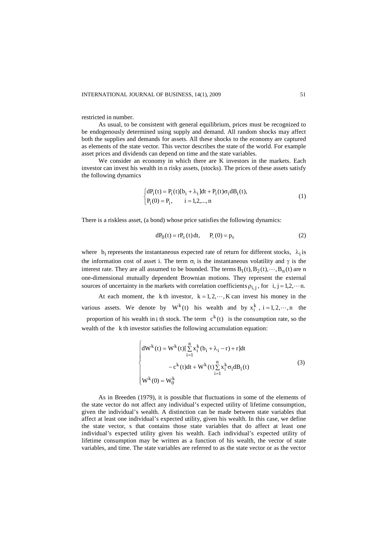restricted in number.

As usual, to be consistent with general equilibrium, prices must be recognized to be endogenously determined using supply and demand. All random shocks may affect both the supplies and demands for assets. All these shocks to the economy are captured as elements of the state vector. This vector describes the state of the world. For example asset prices and dividends can depend on time and the state variables.

We consider an economy in which there are K investors in the markets. Each investor can invest his wealth in n risky assets, (stocks). The prices of these assets satisfy the following dynamics

$$
\begin{cases} dP_i(t) = P_i(t)[b_i + \lambda_i]dt + P_i(t)\sigma_i dB_i(t), \\ P_i(0) = P_i, \qquad i = 1, 2, ..., n \end{cases}
$$
 (1)

There is a riskless asset, (a bond) whose price satisfies the following dynamics:

$$
dP_0(t) = rP_0(t) dt, \qquad P_i(0) = p_0
$$
 (2)

where  $b_i$  represents the instantaneous expected rate of return for different stocks,  $\lambda_i$  is the information cost of asset i. The term  $\sigma_i$  is the instantaneous volatility and  $\gamma$  is the interest rate. They are all assumed to be bounded. The terms  $B_1(t), B_2(t), \dots, B_n(t)$  are n one-dimensional mutually dependent Brownian motions. They represent the external sources of uncertainty in the markets with correlation coefficients  $\rho_{i,j}$ , for i, j = 1,2, $\dots$ n.

At each moment, the k th investor,  $k = 1, 2, \dots, K$  can invest his money in the various assets. We denote by  $W^{k}(t)$  his wealth and by  $x_i^{k}$ ,  $i = 1, 2, \dots, n$  the

proportion of his wealth in i th stock. The term  $c^{k}(t)$  is the consumption rate, so the wealth of the k th investor satisfies the following accumulation equation:

$$
\begin{cases} dW^{k}(t) = W^{k}(t) \left[ \sum_{i=1}^{n} x_{i}^{k}(b_{i} + \lambda_{i} - r) + r \right] dt \\ - c^{k}(t) dt + W^{k}(t) \sum_{i=1}^{n} x_{i}^{k} \sigma_{i} dB_{i}(t) \\ W^{k}(0) = W_{0}^{k} \end{cases}
$$
(3)

As in Breeden (1979), it is possible that fluctuations in some of the elements of the state vector do not affect any individual's expected utility of lifetime consumption, given the individual's wealth. A distinction can be made between state variables that affect at least one individual's expected utility, given his wealth. In this case, we define the state vector, s that contains those state variables that do affect at least one individual's expected utility given his wealth. Each individual's expected utility of lifetime consumption may be written as a function of his wealth, the vector of state variables, and time. The state variables are referred to as the state vector or as the vector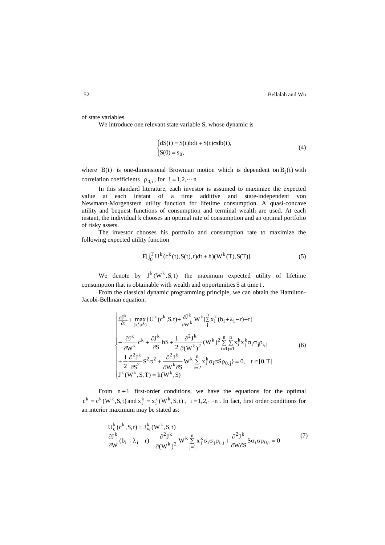of state variables.

We introduce one relevant state variable S, whose dynamic is

$$
\begin{cases} dS(t) = S(t)bdt + S(t)\sigma db(t), \\ S(0) = s_0, \end{cases}
$$
 (4)

where  $B(t)$  is one-dimensional Brownian motion which is dependent on  $B_i(t)$  with correlation coefficients  $\rho_{0,i}$ , for  $i = 1, 2, \dots n$ .

In this standard literature, each investor is assumed to maximize the expected value at each instant of a time additive and state-independent von Newmann-Morgenstern utility function for lifetime consumption. A quasi-concave utility and bequest functions of consumption and terminal wealth are used. At each instant, the individual k chooses an optimal rate of consumption and an optimal portfolio of risky assets.

The investor chooses his portfolio and consumption rate to maximize the following expected utility function

$$
E[j_0^T U^k (c^k(t), S(t), t) dt + h)(W^k(T), S(T)]
$$
\n(5)

We denote by  $J^k(W^k, S, t)$  the maximum expected utility of lifetime consumption that is obtainable with wealth and opportunities S at time t .

From the classical dynamic programming principle, we can obtain the Hamilton-Jacobi-Bellman equation.

$$
\begin{cases}\n\frac{\partial J^k}{\partial t} + \max_{(x_i^k, e^k)} \{U^k (c^k, S, t) + \frac{\partial J^k}{\partial w^k} W^k [\sum_{i=1}^n x_i^k (b_i + \lambda_i - r) + r] \\
-\frac{\partial J^k}{\partial W^k} c^k + \frac{\partial J^k}{\partial S} bS + \frac{1}{2} \frac{\partial^2 J^k}{\partial (W^k)^2} (W^k)^2 \sum_{i=1}^n \sum_{j=1}^n x_i^k x_j^k \sigma_i \sigma_j \rho_{i,j} \\
+\frac{1}{2} \frac{\partial^2 J^k}{\partial S^2} S^2 \sigma^2 + \frac{\partial^2 J^k}{\partial W^k \partial S} W^k \sum_{i=2}^n x_i^k \sigma_i \sigma S \rho_{0,j} \} = 0, \quad t \in [0, T]\nJ^k(W^k, S, T) = h(W^k, S)\n\end{cases} (6)
$$

From  $n+1$  first-order conditions, we have the equations for the optimal  $c^k = c^k(W^k, S, t)$  and  $x_i^k = x_i^k(W^k, S, t)$ ,  $i = 1, 2, \dots n$ . In fact, first order conditions for an interior maximum may be stated as:

$$
U_{c}^{k}(c^{k}, S, t) = J_{w}^{k}(W^{k}, S, t)
$$
  
\n
$$
\frac{\partial J^{k}}{\partial W}(b_{i} + \lambda_{i} - r) + \frac{\partial^{2} J^{k}}{\partial (W^{k})^{2}} W^{k} \sum_{j=1}^{n} x_{j}^{k} \sigma_{i} \sigma_{j} \rho_{i,j} + \frac{\partial^{2} J^{k}}{\partial W \partial S} S \sigma_{i} \sigma \rho_{0,i} = 0
$$
\n(7)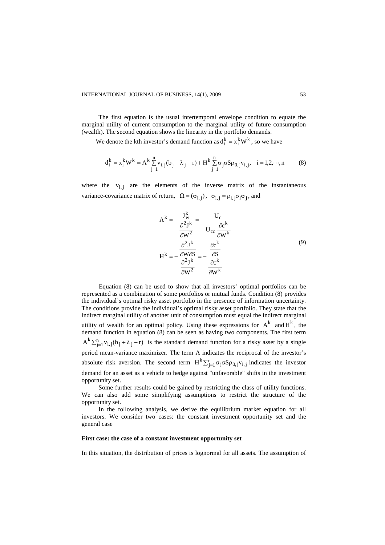The first equation is the usual intertemporal envelope condition to equate the marginal utility of current consumption to the marginal utility of future consumption (wealth). The second equation shows the linearity in the portfolio demands.

We denote the kth investor's demand function as  $d_i^k = x_i^k W^k$ , so we have

$$
d_i^k = x_i^k W^k = A^k \sum_{j=1}^n v_{i,j} (b_j + \lambda_j - r) + H^k \sum_{j=1}^n \sigma_j \sigma S \rho_{0,j} v_{i,j}, \quad i = 1, 2, \dots, n
$$
 (8)

where the  $v_{i,j}$  are the elements of the inverse matrix of the instantaneous variance-covariance matrix of return,  $\Omega = (\sigma_{i,j})$ ,  $\sigma_{i,j} = \rho_{i,j} \sigma_i \sigma_j$ , and

$$
A^{k} = -\frac{J_{w}^{k}}{\frac{\partial^{2} J^{k}}{\partial W^{2}}} = -\frac{U_{c}}{U_{cc} \frac{\partial c^{k}}{\partial W^{k}}}
$$

$$
H^{k} = -\frac{\frac{\partial^{2} J^{k}}{\partial W \partial S}}{\frac{\partial^{2} J^{k}}{\partial W^{2}}} = -\frac{\frac{\partial c^{k}}{\partial S}}{\frac{\partial c^{k}}{\partial W^{k}}}
$$
(9)

Equation (8) can be used to show that all investors' optimal portfolios can be represented as a combination of some portfolios or mutual funds. Condition (8) provides the individual's optimal risky asset portfolio in the presence of information uncertainty. The conditions provide the individual's optimal risky asset portfolio. They state that the indirect marginal utility of another unit of consumption must equal the indirect marginal utility of wealth for an optimal policy. Using these expressions for  $A^k$  and  $H^k$ , the demand function in equation (8) can be seen as having two components. The first term  $A^{k} \sum_{j=1}^{n} v_{i,j} (b_j + \lambda_j - r)$  is the standard demand function for a risky asset by a single period mean-variance maximizer. The term A indicates the reciprocal of the investor's absolute risk aversion. The second term  $H^{k} \sum_{j=1}^{n} \sigma_j \sigma S \rho_{0,j} v_{i,j}$  indicates the investor demand for an asset as a vehicle to hedge against "unfavorable" shifts in the investment opportunity set.

Some further results could be gained by restricting the class of utility functions. We can also add some simplifying assumptions to restrict the structure of the opportunity set.

In the following analysis, we derive the equilibrium market equation for all investors. We consider two cases: the constant investment opportunity set and the general case

#### **First case: the case of a constant investment opportunity set**

In this situation, the distribution of prices is lognormal for all assets. The assumption of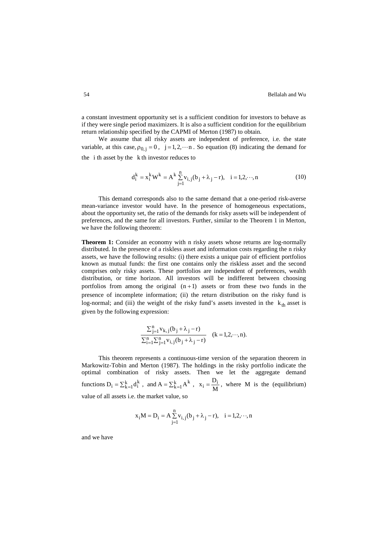a constant investment opportunity set is a sufficient condition for investors to behave as if they were single period maximizers. It is also a sufficient condition for the equilibrium return relationship specified by the CAPMI of Merton (1987) to obtain.

We assume that all risky assets are independent of preference, i.e. the state variable, at this case,  $\rho_{0,j} = 0$ ,  $j = 1, 2, \dots n$ . So equation (8) indicating the demand for the i th asset by the k th investor reduces to

$$
d_i^k = x_i^k W^k = A^k \sum_{j=1}^n v_{i,j} (b_j + \lambda_j - r), \quad i = 1, 2, \dots, n
$$
 (10)

This demand corresponds also to the same demand that a one-period risk-averse mean-variance investor would have. In the presence of homogeneous expectations, about the opportunity set, the ratio of the demands for risky assets will be independent of preferences, and the same for all investors. Further, similar to the Theorem 1 in Merton, we have the following theorem:

**Theorem 1:** Consider an economy with n risky assets whose returns are log-normally distributed. In the presence of a riskless asset and information costs regarding the n risky assets, we have the following results: (i) there exists a unique pair of efficient portfolios known as mutual funds: the first one contains only the riskless asset and the second comprises only risky assets. These portfolios are independent of preferences, wealth distribution, or time horizon. All investors will be indifferent between choosing portfolios from among the original  $(n + 1)$  assets or from these two funds in the presence of incomplete information; (ii) the return distribution on the risky fund is log-normal; and (iii) the weight of the risky fund's assets invested in the  $k_{th}$  asset is given by the following expression:

$$
\frac{\sum_{j=1}^{n} v_{k,j}(b_j + \lambda_j - r)}{\sum_{i=1}^{n} \sum_{j=1}^{n} v_{i,j}(b_j + \lambda_j - r)}
$$
 (k = 1,2,...,n).

This theorem represents a continuous-time version of the separation theorem in Markowitz-Tobin and Merton (1987). The holdings in the risky portfolio indicate the optimal combination of risky assets. Then we let the aggregate demand functions  $D_i = \sum_{k=1}^{k} d_i^k$ , and  $A = \sum_{k=1}^{k} A^k$ ,  $x_i = \frac{D_i}{M}$  $x_i = \frac{D_i}{M}$ , where M is the (equilibrium) value of all assets i.e. the market value, so

$$
x_i M = D_i = A \sum_{j=1}^{n} v_{i,j} (b_j + \lambda_j - r), \quad i = 1, 2, \dots, n
$$

and we have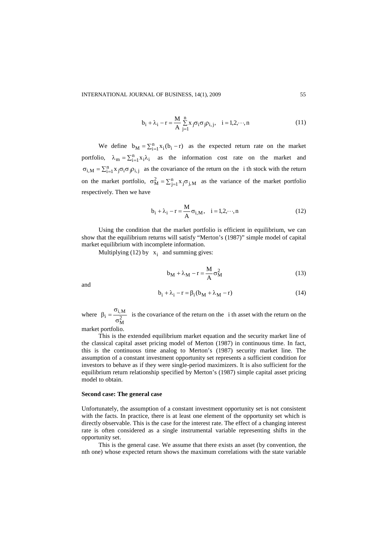$$
b_{i} + \lambda_{i} - r = \frac{M}{A} \sum_{j=1}^{n} x_{j} \sigma_{i} \sigma_{j} \rho_{i,j}, \quad i = 1, 2, \cdots, n
$$
 (11)

We define  $b_M = \sum_{i=1}^n x_i (b_i - r)$  as the expected return rate on the market portfolio,  $\lambda_m = \sum_{i=1}^n x_i \lambda_i$  as the information cost rate on the market and  $\sigma_{i,M} = \sum_{i=1}^{n} x_j \sigma_i \sigma_j \rho_{i,j}$  as the covariance of the return on the i th stock with the return on the market portfolio,  $\sigma_M^2 = \sum_{j=1}^n x_j \sigma_{j,M}$  as the variance of the market portfolio respectively. Then we have

$$
b_i + \lambda_i - r = \frac{M}{A} \sigma_{i,M}, \quad i = 1, 2, \dots, n
$$
 (12)

Using the condition that the market portfolio is efficient in equilibrium, we can show that the equilibrium returns will satisfy "Merton's (1987)" simple model of capital market equilibrium with incomplete information.

Multiplying (12) by  $x_i$  and summing gives:

$$
b_M + \lambda_M - r = \frac{M}{A} \sigma_M^2 \tag{13}
$$

and

$$
b_i + \lambda_i - r = \beta_i (b_M + \lambda_M - r) \tag{14}
$$

where  $\beta_i = \frac{\sigma_{1,N}}{\sigma_M^2}$  $i = \frac{\sigma_{i,M}}{\sigma_M^2}$  $\beta_i = \frac{\sigma_{i,M}}{2}$  is the covariance of the return on the i th asset with the return on the

market portfolio.

This is the extended equilibrium market equation and the security market line of the classical capital asset pricing model of Merton (1987) in continuous time. In fact, this is the continuous time analog to Merton's (1987) security market line. The assumption of a constant investment opportunity set represents a sufficient condition for investors to behave as if they were single-period maximizers. It is also sufficient for the equilibrium return relationship specified by Merton's (1987) simple capital asset pricing model to obtain.

#### **Second case: The general case**

Unfortunately, the assumption of a constant investment opportunity set is not consistent with the facts. In practice, there is at least one element of the opportunity set which is directly observable. This is the case for the interest rate. The effect of a changing interest rate is often considered as a single instrumental variable representing shifts in the opportunity set.

This is the general case. We assume that there exists an asset (by convention, the nth one) whose expected return shows the maximum correlations with the state variable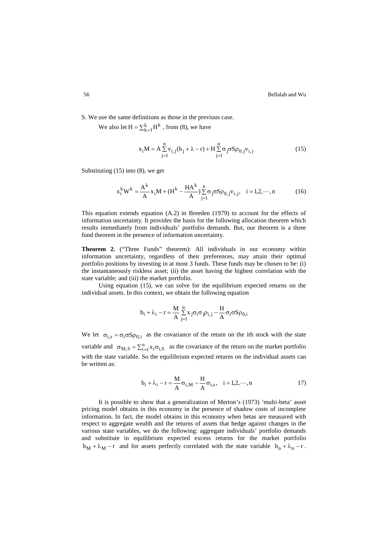S. We use the same definitions as those in the previous case.

We also let  $H = \sum_{k=1}^{k} H^k$ , from (8), we have

$$
x_i M = A \sum_{j=1}^{n} v_{i,j} (b_j + \lambda - r) + H \sum_{j=1}^{n} \sigma_j \sigma S \rho_{0,j} v_{i,j}
$$
(15)

Substituting (15) into (8), we get

$$
x_i^k W^k = \frac{A^k}{A} x_i M + (H^k - \frac{H A^k}{A}) \sum_{j=1}^n \sigma_j \sigma S \rho_{0,j} v_{i,j}, \quad i = 1, 2, \dots, n
$$
 (16)

This equation extends equation (A.2) in Breeden (1979) to account for the effects of information uncertainty. It provides the basis for the following allocation theorem which results immediately from individuals' portfolio demands. But, our theorem is a three fund theorem in the presence of information uncertainty.

**Theorem 2.** ("Three Funds" theorem): All individuals in our economy within information uncertainty, regardless of their preferences, may attain their optimal portfolio positions by investing in at most 3 funds. These funds may be chosen to be: (i) the instantaneously riskless asset; (ii) the asset having the highest correlation with the state variable; and (iii) the market portfolio.

Using equation (15), we can solve for the equilibrium expected returns on the individual assets. In this context, we obtain the following equation

$$
b_i+\lambda_i-r=\frac{M}{A}\sum\limits_{j=1}^nx_j\sigma_i\sigma_j\rho_{i,\,j}-\frac{H}{A}\sigma_i\sigma S\rho_{0,i}
$$

We let  $\sigma_{i,s} = \sigma_i \sigma S \rho_{0,i}$  as the covariance of the return on the ith stock with the state variable and  $\sigma_{M,S} = \sum_{i=1}^{n} x_i \sigma_{i,S}$  as the covariance of the return on the market portfolio with the state variable. So the equilibrium expected returns on the individual assets can be written as:

$$
b_i + \lambda_i - r = \frac{M}{A} \sigma_{i,M} - \frac{H}{A} \sigma_{i,s}, \quad i = 1, 2, \cdots, n
$$
 (17)

It is possible to show that a generalization of Merton's (1973) 'multi-beta' asset pricing model obtains in this economy in the presence of shadow costs of incomplete information. In fact, the model obtains in this economy when betas are measured with respect to aggregate wealth and the returns of assets that hedge against changes in the various state variables, we do the following: aggregate individuals' portfolio demands and substitute in equilibrium expected excess returns for the market portfolio  $b_M + \lambda_M - r$  and for assets perfectly correlated with the state variable  $b_n + \lambda_n - r$ .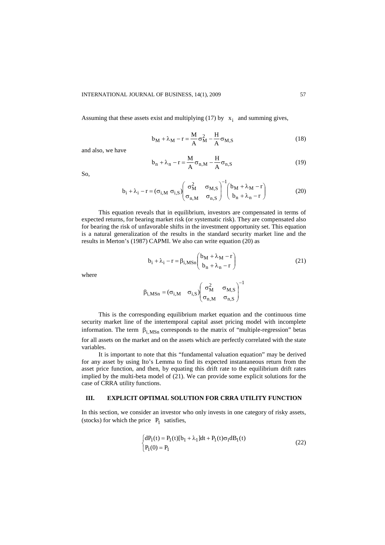Assuming that these assets exist and multiplying (17) by  $x_i$  and summing gives,

$$
b_M + \lambda_M - r = \frac{M}{A} \sigma_M^2 - \frac{H}{A} \sigma_{M,S}
$$
 (18)

and also, we have

$$
b_n + \lambda_n - r = \frac{M}{A} \sigma_{n,M} - \frac{H}{A} \sigma_{n,S}
$$
 (19)

So,

$$
b_i + \lambda_i - r = (\sigma_{i,M} \space \sigma_{i,S}) \begin{pmatrix} \sigma_M^2 & \sigma_{M,S} \\ \sigma_{n,M} & \sigma_{n,S} \end{pmatrix}^{-1} \begin{pmatrix} b_M + \lambda_M - r \\ b_n + \lambda_n - r \end{pmatrix}
$$
(20)

This equation reveals that in equilibrium, investors are compensated in terms of expected returns, for bearing market risk (or systematic risk). They are compensated also for bearing the risk of unfavorable shifts in the investment opportunity set. This equation is a natural generalization of the results in the standard security market line and the results in Merton's (1987) CAPMI. We also can write equation (20) as

$$
b_i + \lambda_i - r = \beta_{i,MSn} \begin{pmatrix} b_M + \lambda_M - r \\ b_n + \lambda_n - r \end{pmatrix}
$$
 (21)

where

$$
\beta_{i,MSn} = (\sigma_{i,M} \quad \sigma_{i,S}) \begin{pmatrix} \sigma_M^2 & \sigma_{M,S} \\ \sigma_{n,M} & \sigma_{n,S} \end{pmatrix}^{-1}
$$

This is the corresponding equilibrium market equation and the continuous time security market line of the intertemporal capital asset pricing model with incomplete information. The term  $\beta_{i,MSn}$  corresponds to the matrix of "multiple-regression" betas for all assets on the market and on the assets which are perfectly correlated with the state variables.

It is important to note that this "fundamental valuation equation" may be derived for any asset by using Ito's Lemma to find its expected instantaneous return from the asset price function, and then, by equating this drift rate to the equilibrium drift rates implied by the multi-beta model of (21). We can provide some explicit solutions for the case of CRRA utility functions.

#### **III. EXPLICIT OPTIMAL SOLUTION FOR CRRA UTILITY FUNCTION**

In this section, we consider an investor who only invests in one category of risky assets, (stocks) for which the price  $P_1$  satisfies,

$$
\int dP_1(t) = P_1(t)[b_1 + \lambda_1]dt + P_1(t)\sigma_1 dB_1(t)
$$
  
\n
$$
P_1(0) = P_1
$$
\n(22)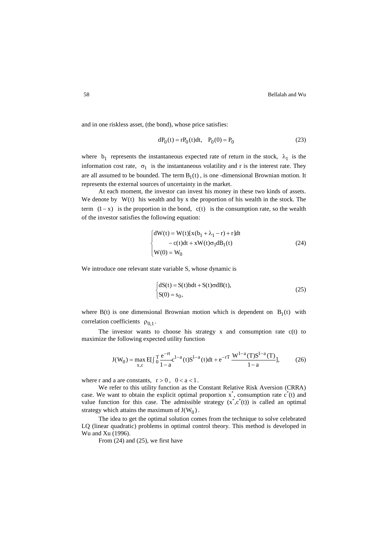and in one riskless asset, (the bond), whose price satisfies:

$$
dP_0(t) = rP_0(t)dt, \quad P_0(0) = P_0
$$
\n(23)

where  $b_1$  represents the instantaneous expected rate of return in the stock,  $\lambda_1$  is the information cost rate,  $\sigma_1$  is the instantaneous volatility and r is the interest rate. They are all assumed to be bounded. The term  $B_1(t)$ , is one -dimensional Brownian motion. It represents the external sources of uncertainty in the market.

At each moment, the investor can invest his money in these two kinds of assets. We denote by  $W(t)$  his wealth and by x the proportion of his wealth in the stock. The term  $(1-x)$  is the proportion in the bond,  $c(t)$  is the consumption rate, so the wealth of the investor satisfies the following equation:

$$
\begin{cases} dW(t) = W(t)[x(b_1 + \lambda_1 - r) + r]dt \\ -c(t)dt + xW(t)\sigma_1 dB_1(t) \end{cases}
$$
(24)  

$$
W(0) = W_0
$$

We introduce one relevant state variable S, whose dynamic is

$$
\begin{cases} dS(t) = S(t) bdt + S(t) \sigma dB(t), \\ S(0) = s_0, \end{cases}
$$
 (25)

where B(t) is one dimensional Brownian motion which is dependent on  $B_1(t)$  with correlation coefficients  $\rho_{0,1}$ .

The investor wants to choose his strategy  $x$  and consumption rate  $c(t)$  to maximize the following expected utility function

$$
J(W_0) = \max_{x,c} E[\int_0^T \frac{e^{-rt}}{1-a} e^{1-a}(t) S^{1-a}(t) dt + e^{-rT} \frac{W^{1-a}(T) S^{1-a}(T)}{1-a}],
$$
 (26)

where r and a are constants,  $r > 0$ ,  $0 < a < 1$ .

We refer to this utility function as the Constant Relative Risk Aversion (CRRA) case. We want to obtain the explicit optimal proportion  $x^*$ , consumption rate  $c^*(t)$  and value function for this case. The admissible strategy  $(x^*, c^*(t))$  is called an optimal strategy which attains the maximum of  $J(W_0)$ .

The idea to get the optimal solution comes from the technique to solve celebrated LQ (linear quadratic) problems in optimal control theory. This method is developed in Wu and Xu (1996).

From (24) and (25), we first have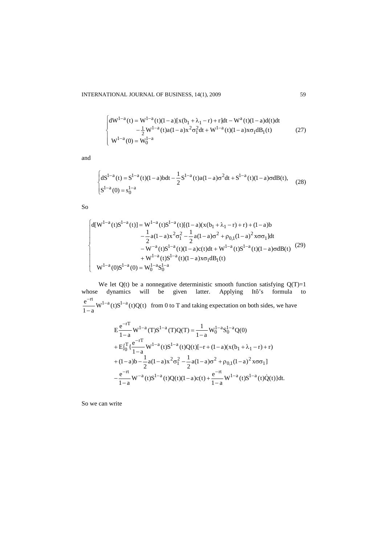INTERNATIONAL JOURNAL OF BUSINESS, 14(1), 2009 59

$$
\begin{cases} dW^{1-a}(t) = W^{1-a}(t)(1-a)[x(b_1 + \lambda_1 - r) + r]dt - W^a(t)(1-a)d(t)dt \\ \qquad - \frac{1}{2} W^{1-a}(t)a(1-a)x^2 \sigma_1^2 dt + W^{1-a}(t)(1-a)x\sigma_1 dB_1(t) \\ W^{1-a}(0) = W_0^{1-a} \end{cases} \tag{27}
$$

and

$$
\begin{cases} dS^{1-a}(t) = S^{1-a}(t)(1-a)bdt - \frac{1}{2}S^{1-a}(t)a(1-a)\sigma^2 dt + S^{1-a}(t)(1-a)\sigma dB(t), \\ S^{1-a}(0) = s_0^{1-a} \end{cases} (28)
$$

So

$$
\begin{cases}\nd[W^{1-a}(t)S^{1-a}(t)] = W^{1-a}(t)S^{1-a}(t)[(1-a)(x(b_1 + \lambda_1 - r) + r) + (1-a)b \\
-\frac{1}{2}a(1-a)x^2\sigma_1^2 - \frac{1}{2}a(1-a)\sigma^2 + \rho_{0,1}(1-a)^2x\sigma\sigma_1]dt \\
-W^{-a}(t)S^{1-a}(t)(1-a)c(t)dt + W^{1-a}(t)S^{1-a}(t)(1-a)\sigma dB(t) \\
+ W^{1-a}(t)S^{1-a}(t)(1-a)x\sigma_1 dB_1(t) \\
W^{1-a}(0)S^{1-a}(0) = W_0^{1-a}S_0^{1-a}\n\end{cases} (29)
$$

We let  $Q(t)$  be a nonnegative deterministic smooth function satisfying  $Q(T)=1$ whose dynamics will be given latter. Applying Itô's formula to  $\frac{C}{1-a}W^{1-a}(t)S^{1-a}(t)Q(t)$  $e^{-rt}$   $W^{1-a}$  (t)  $e^{1-a}$  $\frac{f(x)}{-a}$  (t)S<sup>1-a</sup> (t)Q(t) from 0 to T and taking expectation on both sides, we have

$$
E \frac{e^{-rT}}{1-a} W^{1-a} (T) S^{1-a} (T) Q(T) = \frac{1}{1-a} W_0^{1-a} S_0^{1-a} Q(0)
$$
  
+
$$
E \int_0^T \{ \frac{e^{-rT}}{1-a} W^{1-a} (t) S^{1-a} (t) Q(t) [-r + (1-a)(x(b_1 + \lambda_1 - r) + r) + (1-a)b - \frac{1}{2} a(1-a)x^2 \sigma_1^2 - \frac{1}{2} a(1-a) \sigma^2 + \rho_{0,1} (1-a)^2 x \sigma_1 \} - \frac{e^{-rt}}{1-a} W^{-a} (t) S^{1-a} (t) Q(t) (1-a)c(t) + \frac{e^{-rt}}{1-a} W^{1-a} (t) S^{1-a} (t) \dot{Q}(t) \} dt.
$$

So we can write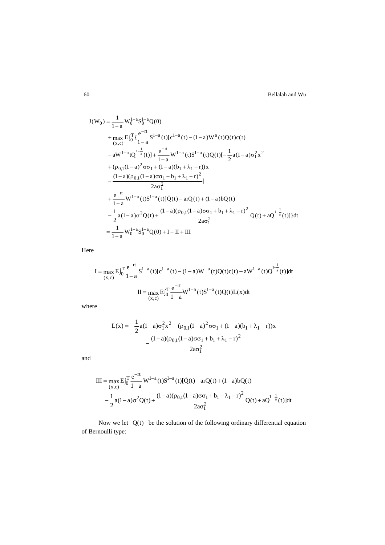60 Bellalah and Wu

$$
J(W_0) = \frac{1}{1-a} W_0^{1-a} S_0^{1-a} Q(0)
$$
  
+ 
$$
\max_{(x,c)} E \int_0^T \left\{ \frac{e^{-rt}}{1-a} S^{1-a}(t) [c^{1-a}(t) - (1-a)W^a(t)Q(t)c(t) - aW^{1-a}(t)Q^{-1-a}(t)Q(t)] \right\} dt
$$
  
- 
$$
= aW^{1-a} t Q^{1-\frac{1}{a}}(t) + \frac{e^{-rt}}{1-a} W^{1-a}(t) S^{1-a}(t) Q(t) [-\frac{1}{2}a(1-a)\sigma_1^2 x^2 + (\rho_{0,1}(1-a)^2 \sigma \sigma_1 + (1-a)(b_1 + \lambda_1 - r))x - (1-a)(\rho_{0,1}(1-a)\sigma \sigma_1 + b_1 + \lambda_1 - r)^2]
$$
  

$$
= \frac{e^{-rt}}{1-a} W^{1-a}(t) S^{1-a}(t) [\dot{Q}(t) - a r Q(t) + (1-a)bQ(t) - \frac{1}{2} a(1-a)\sigma^2 Q(t) + \frac{(1-a)(\rho_{0,1}(1-a)\sigma \sigma_1 + b_1 + \lambda_1 - r)^2}{2a\sigma_1^2} Q(t) + aQ^{1-\frac{1}{a}}(t)] dt
$$
  
= 
$$
\frac{1}{1-a} W_0^{1-a} S_0^{1-a} Q(0) + I + II + III
$$

Here

$$
I = \max_{(x,c)} E \int_0^T \frac{e^{-rt}}{1-a} S^{1-a}(t) [c^{1-a}(t) - (1-a)W^{-a}(t)Q(t)c(t) - aW^{1-a}(t)Q^{\frac{1-a}{a}}(t)]dt
$$
  

$$
II = \max_{(x,c)} E \int_0^T \frac{e^{-rt}}{1-a} W^{1-a}(t) S^{1-a}(t)Q(t) L(x) dt
$$

where

$$
L(x) = -\frac{1}{2}a(1-a)\sigma_1^2 x^2 + (\rho_{0,1}(1-a)^2 \sigma \sigma_1 + (1-a)(b_1 + \lambda_1 - r))x
$$

$$
-\frac{(1-a)(\rho_{0,1}(1-a)\sigma \sigma_1 + b_1 + \lambda_1 - r)^2}{2a\sigma_1^2}
$$

and

III = 
$$
\max_{(x,c)} E \int_0^T \frac{e^{-rt}}{1-a} W^{1-a}(t) S^{1-a}(t) [\dot{Q}(t) - a r Q(t) + (1-a) b Q(t)
$$
  
\n $- \frac{1}{2} a (1-a) \sigma^2 Q(t) + \frac{(1-a)(\rho_{0,1}(1-a) \sigma \sigma_1 + b_1 + \lambda_1 - r)^2}{2a \sigma_1^2} Q(t) + a Q^{1-\frac{1}{a}}(t) ] dt$ 

Now we let  $Q(t)$  be the solution of the following ordinary differential equation of Bernoulli type: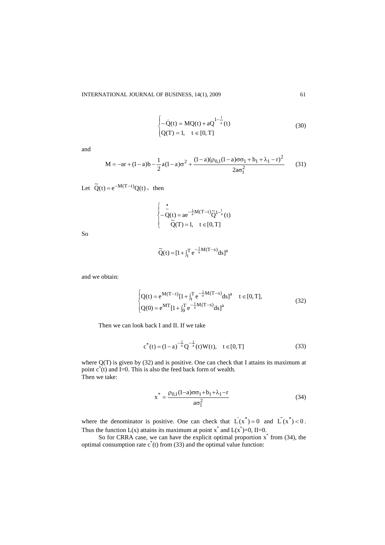$$
\begin{cases}\n-\dot{Q}(t) = MQ(t) + aQ^{1-\frac{1}{a}}(t) \\
Q(T) = 1, \quad t \in [0, T]\n\end{cases}
$$
\n(30)

and

$$
M = -ar + (1 - a)b - \frac{1}{2}a(1 - a)\sigma^{2} + \frac{(1 - a)(\rho_{0,1}(1 - a)\sigma\sigma_{1} + b_{1} + \lambda_{1} - r)^{2}}{2a\sigma_{1}^{2}}
$$
(31)

Let  $\tilde{Q}(t) = e^{-M(T-t)}Q(t)$ , then

$$
\begin{cases}\n\stackrel{\bullet}{\cdot} \\
-\stackrel{\sim}{Q}(t)=ae^{-\frac{1}{a}M(T-t)}\widetilde{Q}^{1-\frac{1}{a}}(t) \\
\widetilde{Q}(T)=1, & t\in[0,T]\n\end{cases}
$$

So

$$
\widetilde{Q}(t) = [1 + \int_t^T e^{-\frac{1}{a}M(T-s)} ds]^a
$$

and we obtain:

$$
\begin{cases} Q(t) = e^{M(T-t)} [1 + \int_{t}^{T} e^{-\frac{1}{a}M(T-s)} ds]^a & t \in [0, T], \\ Q(0) = e^{MT} [1 + \int_{0}^{T} e^{-\frac{1}{a}M(T-s)} ds]^a \end{cases}
$$
(32)

Then we can look back I and II. If we take

$$
c^*(t) = (1-a)^{-\frac{1}{a}} Q^{-\frac{1}{a}}(t)W(t), \quad t \in [0, T]
$$
\n(33)

where Q(T) is given by (32) and is positive. One can check that I attains its maximum at point  $c^*(t)$  and I=0. This is also the feed back form of wealth. Then we take:

$$
x^* = \frac{\rho_{0,1}(1-a)\sigma\sigma_1 + b_1 + \lambda_1 - r}{a\sigma_1^2}
$$
 (34)

where the denominator is positive. One can check that  $L(x^*) = 0$  and  $L(x^*) < 0$ . Thus the function  $L(x)$  attains its maximum at point x<sup>\*</sup> and  $L(x^*)=0$ , II=0.

So for CRRA case, we can have the explicit optimal proportion  $x^*$  from (34), the optimal consumption rate  $c^*(t)$  from (33) and the optimal value function: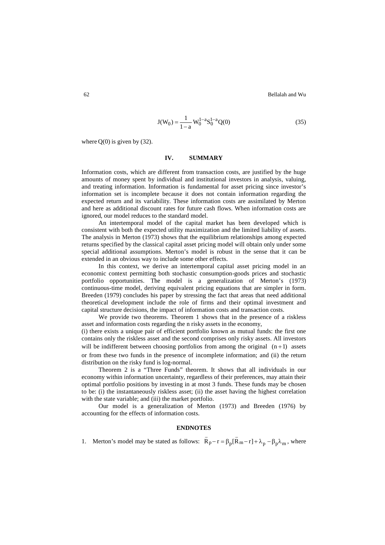$$
J(W_0) = \frac{1}{1-a} W_0^{1-a} S_0^{1-a} Q(0)
$$
 (35)

where  $Q(0)$  is given by (32).

#### **IV. SUMMARY**

Information costs, which are different from transaction costs, are justified by the huge amounts of money spent by individual and institutional investors in analysis, valuing, and treating information. Information is fundamental for asset pricing since investor's information set is incomplete because it does not contain information regarding the expected return and its variability. These information costs are assimilated by Merton and here as additional discount rates for future cash flows. When information costs are ignored, our model reduces to the standard model.

An intertemporal model of the capital market has been developed which is consistent with both the expected utility maximization and the limited liability of assets. The analysis in Merton (1973) shows that the equilibrium relationships among expected returns specified by the classical capital asset pricing model will obtain only under some special additional assumptions. Merton's model is robust in the sense that it can be extended in an obvious way to include some other effects.

In this context, we derive an intertemporal capital asset pricing model in an economic context permitting both stochastic consumption-goods prices and stochastic portfolio opportunities. The model is a generalization of Merton's (1973) continuous-time model, deriving equivalent pricing equations that are simpler in form. Breeden (1979) concludes his paper by stressing the fact that areas that need additional theoretical development include the role of firms and their optimal investment and capital structure decisions, the impact of information costs and transaction costs.

We provide two theorems. Theorem 1 shows that in the presence of a riskless asset and information costs regarding the n risky assets in the economy,

(i) there exists a unique pair of efficient portfolio known as mutual funds: the first one contains only the riskless asset and the second comprises only risky assets. All investors will be indifferent between choosing portfolios from among the original  $(n+1)$  assets or from these two funds in the presence of incomplete information; and (ii) the return distribution on the risky fund is log-normal.

Theorem 2 is a "Three Funds" theorem. It shows that all individuals in our economy within information uncertainty, regardless of their preferences, may attain their optimal portfolio positions by investing in at most 3 funds. These funds may be chosen to be: (i) the instantaneously riskless asset; (ii) the asset having the highest correlation with the state variable; and (iii) the market portfolio.

Our model is a generalization of Merton (1973) and Breeden (1976) by accounting for the effects of information costs.

# **ENDNOTES**

\_

\_

1. Merton's model may be stated as follows:  $R_p - r = \beta_p [R_m - r] + \lambda_p - \beta_p \lambda_m$  $p - r = \beta_p$  $R_p - r = \beta_p [R_m - r] + \lambda_p - \beta_p \lambda_m$ , where